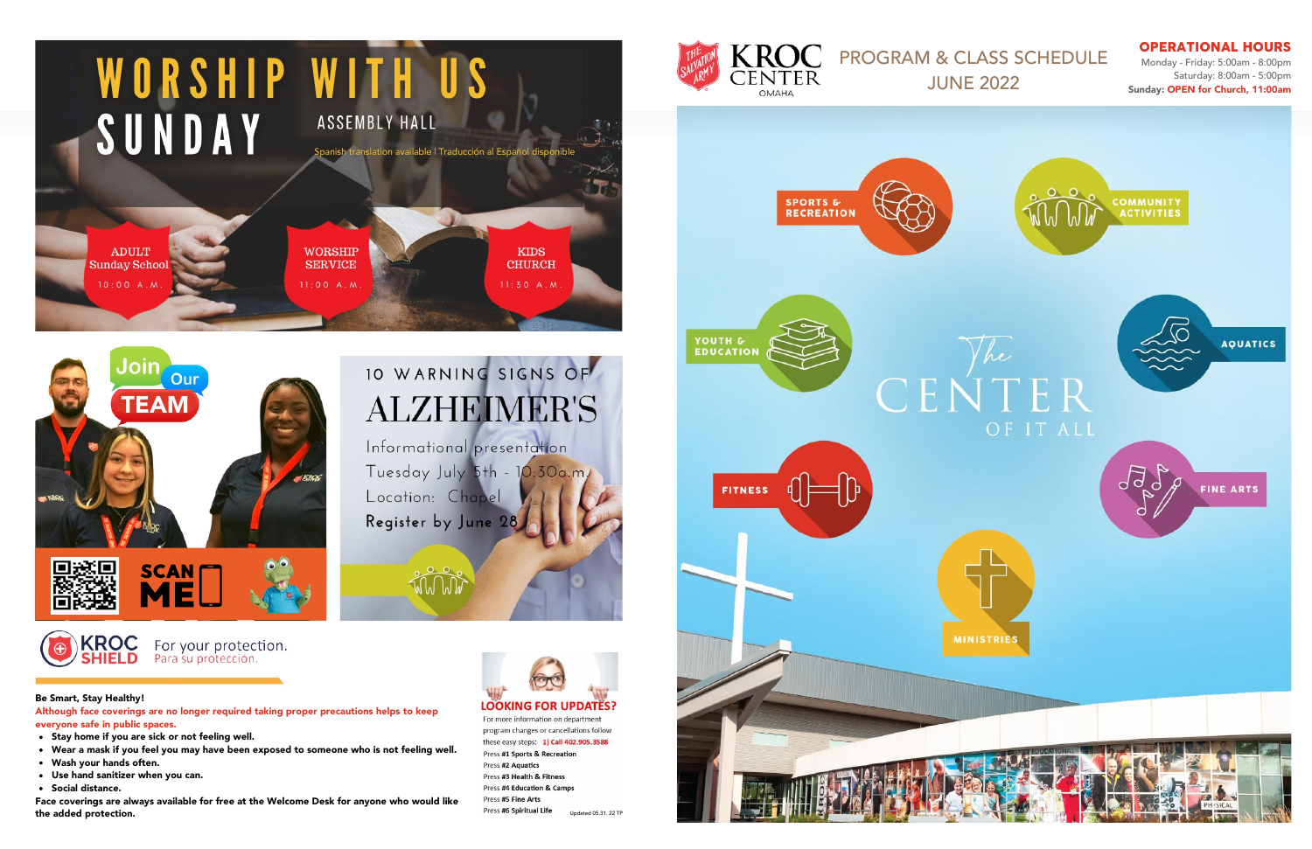Monday - Friday: 5:00am - 8:00pm Saturday: 8:00am - 5:00pm Sunday: OPEN for Church, 11:00am

## **KROC** PROGRAM & CLASS SCHEDULE<br>CENTER JUNE 2022

For more information on department program changes or cancellations follow these easy steps: 1) Call 402.905.3588 Press #1 Sports & Recreation Press #2 Aquatics Press #3 Health & Fitness Press #4 Education & Camps Press #5 Fine Arts Press #6 Spiritual Life Updated 05.31. 22 TP

- Stay home if you are sick or not feeling well.
- Wear a mask if you feel you may have been exposed to someone who is not feeling well.
- Wash your hands often.
- Use hand sanitizer when you can.
- Social distance.







### OPERATIONAL HOURS

#### Be Smart, Stay Healthy!

Although face coverings are no longer required taking proper precautions helps to keep everyone safe in public spaces.

Face coverings are always available for free at the Welcome Desk for anyone who would like the added protection.

# 10 WARNING SIGNS OF **ALZHEIMER'S**

Informational presentation Tuesday July 5th - 10:30a.m Location: Chapel Register by June 28

# **LOOKING FOR UPDATES?**





**AF** 



For your protection. Para su protección.